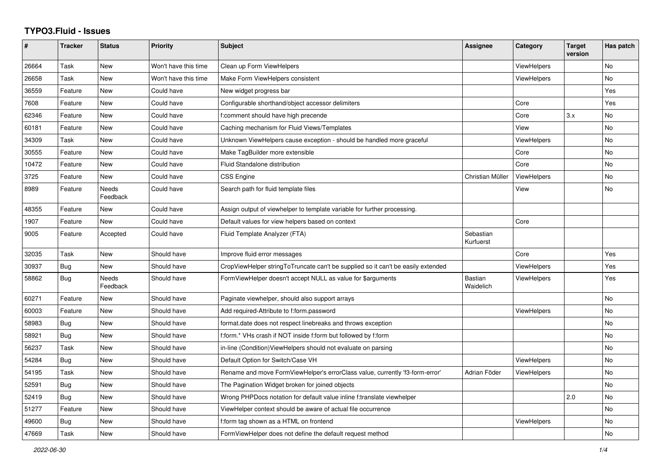## **TYPO3.Fluid - Issues**

| #     | <b>Tracker</b> | <b>Status</b>            | <b>Priority</b>      | Subject                                                                          | Assignee                    | Category           | <b>Target</b><br>version | Has patch |
|-------|----------------|--------------------------|----------------------|----------------------------------------------------------------------------------|-----------------------------|--------------------|--------------------------|-----------|
| 26664 | Task           | New                      | Won't have this time | Clean up Form ViewHelpers                                                        |                             | ViewHelpers        |                          | No        |
| 26658 | Task           | New                      | Won't have this time | Make Form ViewHelpers consistent                                                 |                             | ViewHelpers        |                          | <b>No</b> |
| 36559 | Feature        | New                      | Could have           | New widget progress bar                                                          |                             |                    |                          | Yes       |
| 7608  | Feature        | <b>New</b>               | Could have           | Configurable shorthand/object accessor delimiters                                |                             | Core               |                          | Yes       |
| 62346 | Feature        | New                      | Could have           | f:comment should have high precende                                              |                             | Core               | 3.x                      | No        |
| 60181 | Feature        | New                      | Could have           | Caching mechanism for Fluid Views/Templates                                      |                             | View               |                          | No        |
| 34309 | Task           | <b>New</b>               | Could have           | Unknown ViewHelpers cause exception - should be handled more graceful            |                             | ViewHelpers        |                          | No        |
| 30555 | Feature        | New                      | Could have           | Make TagBuilder more extensible                                                  |                             | Core               |                          | No        |
| 10472 | Feature        | New                      | Could have           | Fluid Standalone distribution                                                    |                             | Core               |                          | <b>No</b> |
| 3725  | Feature        | <b>New</b>               | Could have           | <b>CSS Engine</b>                                                                | Christian Müller            | ViewHelpers        |                          | <b>No</b> |
| 8989  | Feature        | <b>Needs</b><br>Feedback | Could have           | Search path for fluid template files                                             |                             | View               |                          | No        |
| 48355 | Feature        | <b>New</b>               | Could have           | Assign output of viewhelper to template variable for further processing.         |                             |                    |                          |           |
| 1907  | Feature        | New                      | Could have           | Default values for view helpers based on context                                 |                             | Core               |                          |           |
| 9005  | Feature        | Accepted                 | Could have           | Fluid Template Analyzer (FTA)                                                    | Sebastian<br>Kurfuerst      |                    |                          |           |
| 32035 | Task           | <b>New</b>               | Should have          | Improve fluid error messages                                                     |                             | Core               |                          | Yes       |
| 30937 | <b>Bug</b>     | <b>New</b>               | Should have          | CropViewHelper stringToTruncate can't be supplied so it can't be easily extended |                             | ViewHelpers        |                          | Yes       |
| 58862 | Bug            | <b>Needs</b><br>Feedback | Should have          | FormViewHelper doesn't accept NULL as value for \$arguments                      | <b>Bastian</b><br>Waidelich | ViewHelpers        |                          | Yes       |
| 60271 | Feature        | New                      | Should have          | Paginate viewhelper, should also support arrays                                  |                             |                    |                          | No        |
| 60003 | Feature        | New                      | Should have          | Add required-Attribute to f:form.password                                        |                             | <b>ViewHelpers</b> |                          | No        |
| 58983 | Bug            | <b>New</b>               | Should have          | format.date does not respect linebreaks and throws exception                     |                             |                    |                          | No        |
| 58921 | Bug            | New                      | Should have          | f:form.* VHs crash if NOT inside f:form but followed by f:form                   |                             |                    |                          | No        |
| 56237 | Task           | New                      | Should have          | in-line (Condition) View Helpers should not evaluate on parsing                  |                             |                    |                          | No        |
| 54284 | Bug            | <b>New</b>               | Should have          | Default Option for Switch/Case VH                                                |                             | ViewHelpers        |                          | <b>No</b> |
| 54195 | Task           | <b>New</b>               | Should have          | Rename and move FormViewHelper's errorClass value, currently 'f3-form-error'     | Adrian Föder                | <b>ViewHelpers</b> |                          | <b>No</b> |
| 52591 | Bug            | <b>New</b>               | Should have          | The Pagination Widget broken for joined objects                                  |                             |                    |                          | <b>No</b> |
| 52419 | Bug            | New                      | Should have          | Wrong PHPDocs notation for default value inline f:translate viewhelper           |                             |                    | 2.0                      | No        |
| 51277 | Feature        | New                      | Should have          | ViewHelper context should be aware of actual file occurrence                     |                             |                    |                          | No        |
| 49600 | <b>Bug</b>     | New                      | Should have          | f:form tag shown as a HTML on frontend                                           |                             | ViewHelpers        |                          | No        |
| 47669 | Task           | <b>New</b>               | Should have          | Form View Helper does not define the default request method                      |                             |                    |                          | <b>No</b> |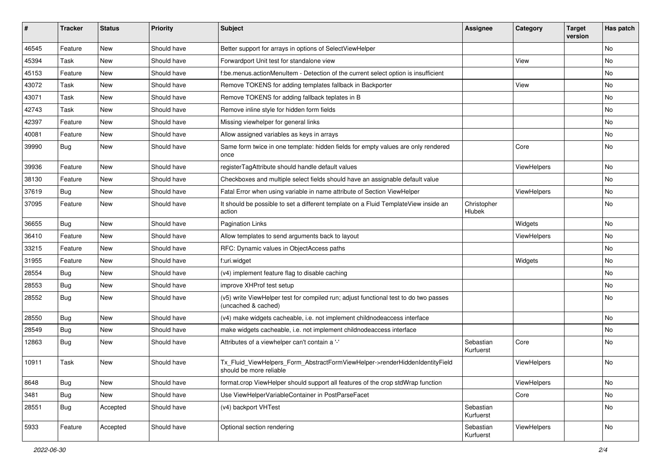| #     | <b>Tracker</b> | <b>Status</b> | Priority    | Subject                                                                                                     | <b>Assignee</b>        | Category    | <b>Target</b><br>version | Has patch |
|-------|----------------|---------------|-------------|-------------------------------------------------------------------------------------------------------------|------------------------|-------------|--------------------------|-----------|
| 46545 | Feature        | New           | Should have | Better support for arrays in options of SelectViewHelper                                                    |                        |             |                          | <b>No</b> |
| 45394 | Task           | New           | Should have | Forwardport Unit test for standalone view                                                                   |                        | View        |                          | No        |
| 45153 | Feature        | New           | Should have | f:be.menus.actionMenuItem - Detection of the current select option is insufficient                          |                        |             |                          | No        |
| 43072 | Task           | New           | Should have | Remove TOKENS for adding templates fallback in Backporter                                                   |                        | View        |                          | No        |
| 43071 | Task           | New           | Should have | Remove TOKENS for adding fallback teplates in B                                                             |                        |             |                          | No        |
| 42743 | Task           | New           | Should have | Remove inline style for hidden form fields                                                                  |                        |             |                          | No        |
| 42397 | Feature        | New           | Should have | Missing viewhelper for general links                                                                        |                        |             |                          | No        |
| 40081 | Feature        | New           | Should have | Allow assigned variables as keys in arrays                                                                  |                        |             |                          | No        |
| 39990 | Bug            | New           | Should have | Same form twice in one template: hidden fields for empty values are only rendered<br>once                   |                        | Core        |                          | No        |
| 39936 | Feature        | <b>New</b>    | Should have | registerTagAttribute should handle default values                                                           |                        | ViewHelpers |                          | <b>No</b> |
| 38130 | Feature        | New           | Should have | Checkboxes and multiple select fields should have an assignable default value                               |                        |             |                          | No        |
| 37619 | <b>Bug</b>     | New           | Should have | Fatal Error when using variable in name attribute of Section ViewHelper                                     |                        | ViewHelpers |                          | No        |
| 37095 | Feature        | New           | Should have | It should be possible to set a different template on a Fluid TemplateView inside an<br>action               | Christopher<br>Hlubek  |             |                          | No        |
| 36655 | Bug            | New           | Should have | <b>Pagination Links</b>                                                                                     |                        | Widgets     |                          | No        |
| 36410 | Feature        | New           | Should have | Allow templates to send arguments back to layout                                                            |                        | ViewHelpers |                          | <b>No</b> |
| 33215 | Feature        | New           | Should have | RFC: Dynamic values in ObjectAccess paths                                                                   |                        |             |                          | No        |
| 31955 | Feature        | New           | Should have | f:uri.widget                                                                                                |                        | Widgets     |                          | <b>No</b> |
| 28554 | Bug            | New           | Should have | (v4) implement feature flag to disable caching                                                              |                        |             |                          | No        |
| 28553 | <b>Bug</b>     | New           | Should have | improve XHProf test setup                                                                                   |                        |             |                          | No        |
| 28552 | Bug            | New           | Should have | (v5) write ViewHelper test for compiled run; adjust functional test to do two passes<br>(uncached & cached) |                        |             |                          | No        |
| 28550 | <b>Bug</b>     | New           | Should have | (v4) make widgets cacheable, i.e. not implement childnodeaccess interface                                   |                        |             |                          | No        |
| 28549 | Bug            | New           | Should have | make widgets cacheable, i.e. not implement childnodeaccess interface                                        |                        |             |                          | No        |
| 12863 | <b>Bug</b>     | New           | Should have | Attributes of a viewhelper can't contain a '-'                                                              | Sebastian<br>Kurfuerst | Core        |                          | No        |
| 10911 | Task           | New           | Should have | Tx_Fluid_ViewHelpers_Form_AbstractFormViewHelper->renderHiddenIdentityField<br>should be more reliable      |                        | ViewHelpers |                          | No        |
| 8648  | <b>Bug</b>     | New           | Should have | format.crop ViewHelper should support all features of the crop stdWrap function                             |                        | ViewHelpers |                          | No        |
| 3481  | Bug            | New           | Should have | Use ViewHelperVariableContainer in PostParseFacet                                                           |                        | Core        |                          | No        |
| 28551 | <b>Bug</b>     | Accepted      | Should have | (v4) backport VHTest                                                                                        | Sebastian<br>Kurfuerst |             |                          | No        |
| 5933  | Feature        | Accepted      | Should have | Optional section rendering                                                                                  | Sebastian<br>Kurfuerst | ViewHelpers |                          | No        |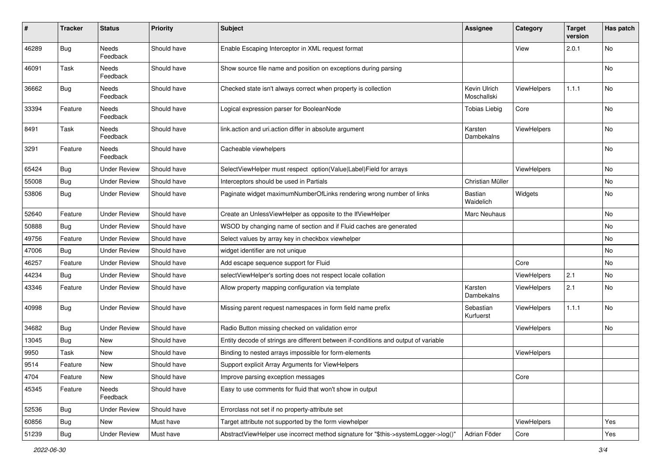| $\#$  | <b>Tracker</b> | <b>Status</b>       | <b>Priority</b> | Subject                                                                             | <b>Assignee</b>             | Category           | <b>Target</b><br>version | Has patch |
|-------|----------------|---------------------|-----------------|-------------------------------------------------------------------------------------|-----------------------------|--------------------|--------------------------|-----------|
| 46289 | Bug            | Needs<br>Feedback   | Should have     | Enable Escaping Interceptor in XML request format                                   |                             | View               | 2.0.1                    | <b>No</b> |
| 46091 | Task           | Needs<br>Feedback   | Should have     | Show source file name and position on exceptions during parsing                     |                             |                    |                          | No        |
| 36662 | Bug            | Needs<br>Feedback   | Should have     | Checked state isn't always correct when property is collection                      | Kevin Ulrich<br>Moschallski | <b>ViewHelpers</b> | 1.1.1                    | No        |
| 33394 | Feature        | Needs<br>Feedback   | Should have     | Logical expression parser for BooleanNode                                           | <b>Tobias Liebig</b>        | Core               |                          | No        |
| 8491  | Task           | Needs<br>Feedback   | Should have     | link.action and uri.action differ in absolute argument                              | Karsten<br>Dambekalns       | <b>ViewHelpers</b> |                          | No        |
| 3291  | Feature        | Needs<br>Feedback   | Should have     | Cacheable viewhelpers                                                               |                             |                    |                          | No        |
| 65424 | Bug            | Under Review        | Should have     | SelectViewHelper must respect option(Value Label)Field for arrays                   |                             | ViewHelpers        |                          | No        |
| 55008 | <b>Bug</b>     | <b>Under Review</b> | Should have     | Interceptors should be used in Partials                                             | Christian Müller            |                    |                          | No        |
| 53806 | Bug            | Under Review        | Should have     | Paginate widget maximumNumberOfLinks rendering wrong number of links                | Bastian<br>Waidelich        | Widgets            |                          | No        |
| 52640 | Feature        | <b>Under Review</b> | Should have     | Create an UnlessViewHelper as opposite to the IfViewHelper                          | Marc Neuhaus                |                    |                          | <b>No</b> |
| 50888 | Bug            | <b>Under Review</b> | Should have     | WSOD by changing name of section and if Fluid caches are generated                  |                             |                    |                          | No        |
| 49756 | Feature        | <b>Under Review</b> | Should have     | Select values by array key in checkbox viewhelper                                   |                             |                    |                          | No        |
| 47006 | <b>Bug</b>     | <b>Under Review</b> | Should have     | widget identifier are not unique                                                    |                             |                    |                          | No        |
| 46257 | Feature        | Under Review        | Should have     | Add escape sequence support for Fluid                                               |                             | Core               |                          | No        |
| 44234 | Bug            | <b>Under Review</b> | Should have     | selectViewHelper's sorting does not respect locale collation                        |                             | ViewHelpers        | 2.1                      | No        |
| 43346 | Feature        | Under Review        | Should have     | Allow property mapping configuration via template                                   | Karsten<br>Dambekalns       | <b>ViewHelpers</b> | 2.1                      | No        |
| 40998 | Bug            | Under Review        | Should have     | Missing parent request namespaces in form field name prefix                         | Sebastian<br>Kurfuerst      | <b>ViewHelpers</b> | 1.1.1                    | No        |
| 34682 | <b>Bug</b>     | <b>Under Review</b> | Should have     | Radio Button missing checked on validation error                                    |                             | ViewHelpers        |                          | No        |
| 13045 | <b>Bug</b>     | New                 | Should have     | Entity decode of strings are different between if-conditions and output of variable |                             |                    |                          |           |
| 9950  | Task           | New                 | Should have     | Binding to nested arrays impossible for form-elements                               |                             | <b>ViewHelpers</b> |                          |           |
| 9514  | Feature        | New                 | Should have     | Support explicit Array Arguments for ViewHelpers                                    |                             |                    |                          |           |
| 4704  | Feature        | New                 | Should have     | Improve parsing exception messages                                                  |                             | Core               |                          |           |
| 45345 | Feature        | Needs<br>Feedback   | Should have     | Easy to use comments for fluid that won't show in output                            |                             |                    |                          |           |
| 52536 | Bug            | <b>Under Review</b> | Should have     | Errorclass not set if no property-attribute set                                     |                             |                    |                          |           |
| 60856 | <b>Bug</b>     | New                 | Must have       | Target attribute not supported by the form viewhelper                               |                             | ViewHelpers        |                          | Yes       |
| 51239 | Bug            | <b>Under Review</b> | Must have       | AbstractViewHelper use incorrect method signature for "\$this->systemLogger->log()" | Adrian Föder                | Core               |                          | Yes       |